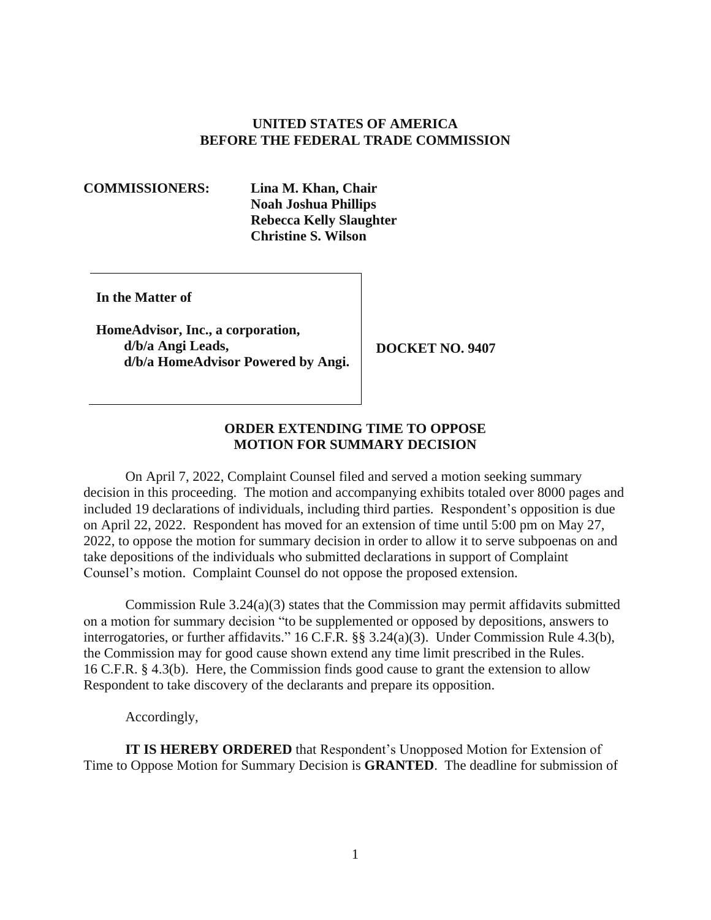## **UNITED STATES OF AMERICA BEFORE THE FEDERAL TRADE COMMISSION**

## **COMMISSIONERS: Lina M. Khan, Chair**

**Noah Joshua Phillips Rebecca Kelly Slaughter Christine S. Wilson** 

**In the Matter of** 

**HomeAdvisor, Inc., a corporation, d/b/a Angi Leads, DOCKET NO. 9407 d/b/a HomeAdvisor Powered by Angi.** 

## **ORDER EXTENDING TIME TO OPPOSE MOTION FOR SUMMARY DECISION**

 on April 22, 2022. Respondent has moved for an extension of time until 5:00 pm on May 27, On April 7, 2022, Complaint Counsel filed and served a motion seeking summary decision in this proceeding. The motion and accompanying exhibits totaled over 8000 pages and included 19 declarations of individuals, including third parties. Respondent's opposition is due 2022, to oppose the motion for summary decision in order to allow it to serve subpoenas on and take depositions of the individuals who submitted declarations in support of Complaint Counsel's motion. Complaint Counsel do not oppose the proposed extension.

 interrogatories, or further affidavits." 16 C.F.R. §§ 3.24(a)(3). Under Commission Rule 4.3(b), Commission Rule 3.24(a)(3) states that the Commission may permit affidavits submitted on a motion for summary decision "to be supplemented or opposed by depositions, answers to the Commission may for good cause shown extend any time limit prescribed in the Rules. 16 C.F.R. § 4.3(b). Here, the Commission finds good cause to grant the extension to allow Respondent to take discovery of the declarants and prepare its opposition.

Accordingly,

**IT IS HEREBY ORDERED** that Respondent's Unopposed Motion for Extension of Time to Oppose Motion for Summary Decision is **GRANTED**. The deadline for submission of